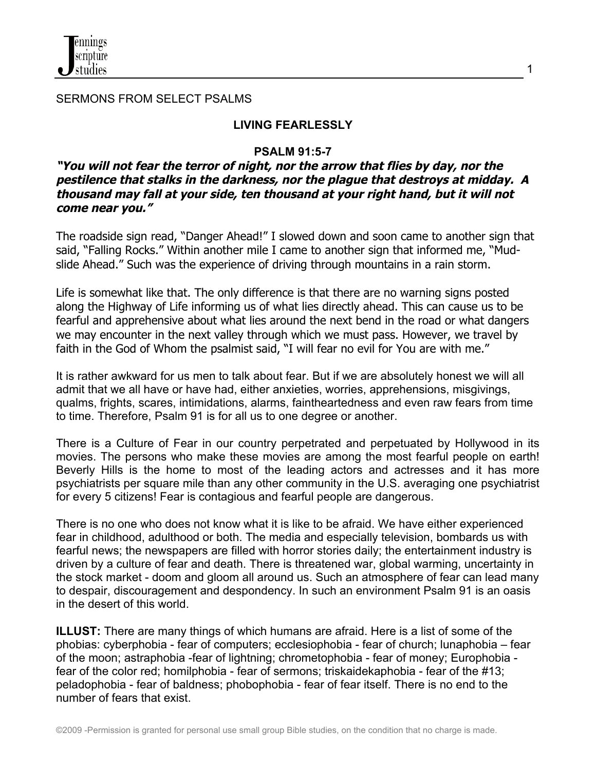

SERMONS FROM SELECT PSALMS

### **LIVING FEARLESSLY**

### **PSALM 91:5-7**

### **"You will not fear the terror of night, nor the arrow that flies by day, nor the pestilence that stalks in the darkness, nor the plague that destroys at midday. A thousand may fall at your side, ten thousand at your right hand, but it will not come near you."**

The roadside sign read, "Danger Ahead!" I slowed down and soon came to another sign that said, "Falling Rocks." Within another mile I came to another sign that informed me, "Mudslide Ahead." Such was the experience of driving through mountains in a rain storm.

Life is somewhat like that. The only difference is that there are no warning signs posted along the Highway of Life informing us of what lies directly ahead. This can cause us to be fearful and apprehensive about what lies around the next bend in the road or what dangers we may encounter in the next valley through which we must pass. However, we travel by faith in the God of Whom the psalmist said, "I will fear no evil for You are with me."

It is rather awkward for us men to talk about fear. But if we are absolutely honest we will all admit that we all have or have had, either anxieties, worries, apprehensions, misgivings, qualms, frights, scares, intimidations, alarms, faintheartedness and even raw fears from time to time. Therefore, Psalm 91 is for all us to one degree or another.

There is a Culture of Fear in our country perpetrated and perpetuated by Hollywood in its movies. The persons who make these movies are among the most fearful people on earth! Beverly Hills is the home to most of the leading actors and actresses and it has more psychiatrists per square mile than any other community in the U.S. averaging one psychiatrist for every 5 citizens! Fear is contagious and fearful people are dangerous.

There is no one who does not know what it is like to be afraid. We have either experienced fear in childhood, adulthood or both. The media and especially television, bombards us with fearful news; the newspapers are filled with horror stories daily; the entertainment industry is driven by a culture of fear and death. There is threatened war, global warming, uncertainty in the stock market - doom and gloom all around us. Such an atmosphere of fear can lead many to despair, discouragement and despondency. In such an environment Psalm 91 is an oasis in the desert of this world.

**ILLUST:** There are many things of which humans are afraid. Here is a list of some of the phobias: cyberphobia - fear of computers; ecclesiophobia - fear of church; lunaphobia – fear of the moon; astraphobia -fear of lightning; chrometophobia - fear of money; Europhobia fear of the color red; homilphobia - fear of sermons; triskaidekaphobia - fear of the #13; peladophobia - fear of baldness; phobophobia - fear of fear itself. There is no end to the number of fears that exist.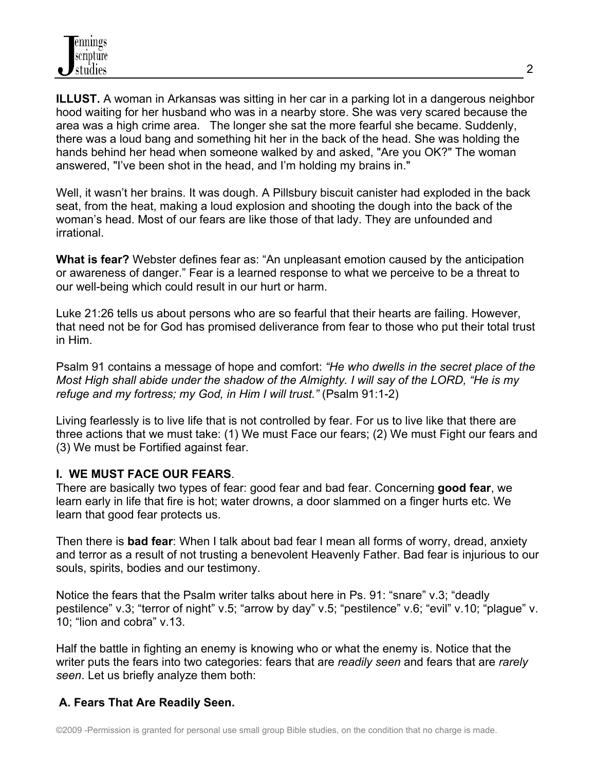**ILLUST.** A woman in Arkansas was sitting in her car in a parking lot in a dangerous neighbor hood waiting for her husband who was in a nearby store. She was very scared because the area was a high crime area. The longer she sat the more fearful she became. Suddenly, there was a loud bang and something hit her in the back of the head. She was holding the hands behind her head when someone walked by and asked, "Are you OK?" The woman answered, "I've been shot in the head, and I'm holding my brains in."

Well, it wasn't her brains. It was dough. A Pillsbury biscuit canister had exploded in the back seat, from the heat, making a loud explosion and shooting the dough into the back of the woman's head. Most of our fears are like those of that lady. They are unfounded and irrational.

**What is fear?** Webster defines fear as: "An unpleasant emotion caused by the anticipation or awareness of danger." Fear is a learned response to what we perceive to be a threat to our well-being which could result in our hurt or harm.

Luke 21:26 tells us about persons who are so fearful that their hearts are failing. However, that need not be for God has promised deliverance from fear to those who put their total trust in Him.

Psalm 91 contains a message of hope and comfort: *"He who dwells in the secret place of the Most High shall abide under the shadow of the Almighty. I will say of the LORD, "He is my refuge and my fortress; my God, in Him I will trust."* (Psalm 91:1-2)

Living fearlessly is to live life that is not controlled by fear. For us to live like that there are three actions that we must take: (1) We must Face our fears; (2) We must Fight our fears and (3) We must be Fortified against fear.

# **I. WE MUST FACE OUR FEARS**.

There are basically two types of fear: good fear and bad fear. Concerning **good fear**, we learn early in life that fire is hot; water drowns, a door slammed on a finger hurts etc. We learn that good fear protects us.

Then there is **bad fear**: When I talk about bad fear I mean all forms of worry, dread, anxiety and terror as a result of not trusting a benevolent Heavenly Father. Bad fear is injurious to our souls, spirits, bodies and our testimony.

Notice the fears that the Psalm writer talks about here in Ps. 91: "snare" v.3; "deadly pestilence" v.3; "terror of night" v.5; "arrow by day" v.5; "pestilence" v.6; "evil" v.10; "plague" v. 10; "lion and cobra" v.13.

Half the battle in fighting an enemy is knowing who or what the enemy is. Notice that the writer puts the fears into two categories: fears that are *readily seen* and fears that are *rarely seen*. Let us briefly analyze them both:

# **A. Fears That Are Readily Seen.**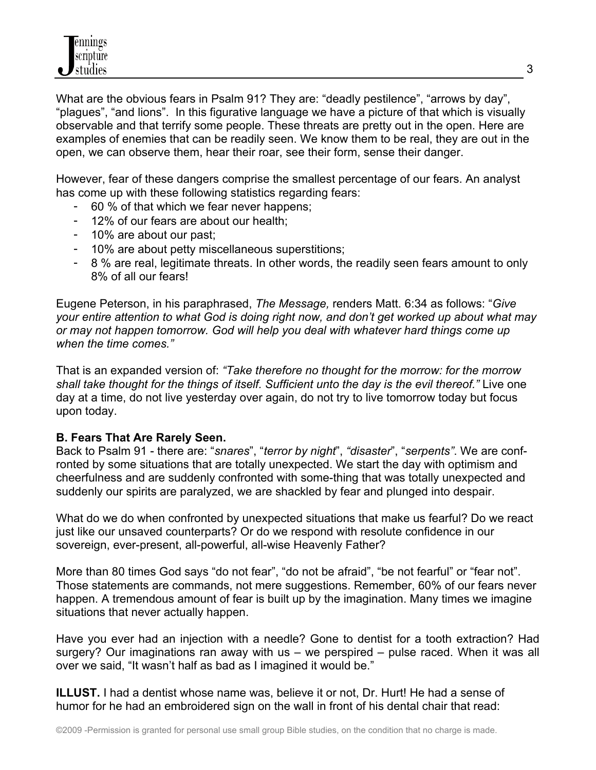What are the obvious fears in Psalm 91? They are: "deadly pestilence", "arrows by day", "plagues", "and lions". In this figurative language we have a picture of that which is visually observable and that terrify some people. These threats are pretty out in the open. Here are examples of enemies that can be readily seen. We know them to be real, they are out in the open, we can observe them, hear their roar, see their form, sense their danger.

However, fear of these dangers comprise the smallest percentage of our fears. An analyst has come up with these following statistics regarding fears:

- 60 % of that which we fear never happens;
- 12% of our fears are about our health;
- 10% are about our past;
- 10% are about petty miscellaneous superstitions;
- 8 % are real, legitimate threats. In other words, the readily seen fears amount to only 8% of all our fears!

Eugene Peterson, in his paraphrased, *The Message,* renders Matt. 6:34 as follows: "*Give your entire attention to what God is doing right now, and don't get worked up about what may or may not happen tomorrow. God will help you deal with whatever hard things come up when the time comes."*

That is an expanded version of: *"Take therefore no thought for the morrow: for the morrow shall take thought for the things of itself. Sufficient unto the day is the evil thereof."* Live one day at a time, do not live yesterday over again, do not try to live tomorrow today but focus upon today.

# **B. Fears That Are Rarely Seen.**

Back to Psalm 91 - there are: "*snares*", "*terror by night*", *"disaster*", "*serpents"*. We are confronted by some situations that are totally unexpected. We start the day with optimism and cheerfulness and are suddenly confronted with some-thing that was totally unexpected and suddenly our spirits are paralyzed, we are shackled by fear and plunged into despair.

What do we do when confronted by unexpected situations that make us fearful? Do we react just like our unsaved counterparts? Or do we respond with resolute confidence in our sovereign, ever-present, all-powerful, all-wise Heavenly Father?

More than 80 times God says "do not fear", "do not be afraid", "be not fearful" or "fear not". Those statements are commands, not mere suggestions. Remember, 60% of our fears never happen. A tremendous amount of fear is built up by the imagination. Many times we imagine situations that never actually happen.

Have you ever had an injection with a needle? Gone to dentist for a tooth extraction? Had surgery? Our imaginations ran away with us – we perspired – pulse raced. When it was all over we said, "It wasn't half as bad as I imagined it would be."

**ILLUST.** I had a dentist whose name was, believe it or not, Dr. Hurt! He had a sense of humor for he had an embroidered sign on the wall in front of his dental chair that read: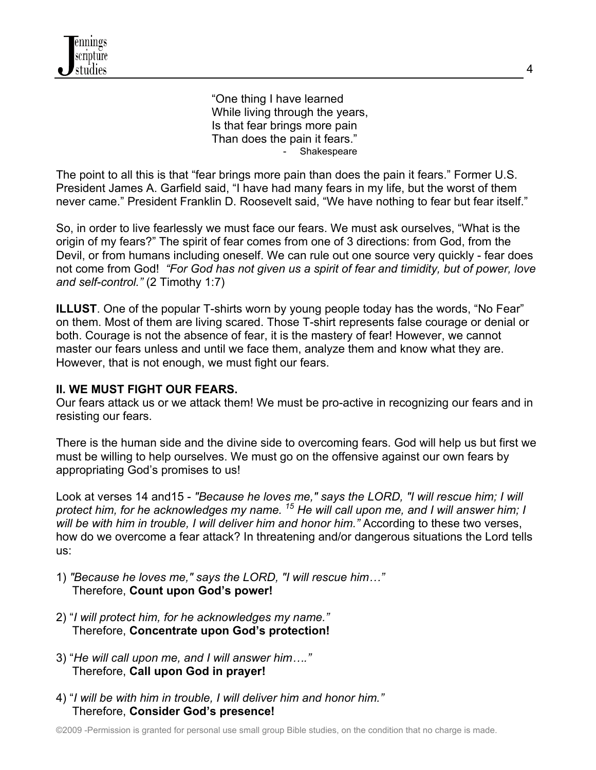"One thing I have learned While living through the years, Is that fear brings more pain Than does the pain it fears."<br>Shakespeare

The point to all this is that "fear brings more pain than does the pain it fears." Former U.S. President James A. Garfield said, "I have had many fears in my life, but the worst of them never came." President Franklin D. Roosevelt said, "We have nothing to fear but fear itself."

So, in order to live fearlessly we must face our fears. We must ask ourselves, "What is the origin of my fears?" The spirit of fear comes from one of 3 directions: from God, from the Devil, or from humans including oneself. We can rule out one source very quickly - fear does not come from God! *"For God has not given us a spirit of fear and timidity, but of power, love and self-control."* (2 Timothy 1:7)

**ILLUST**. One of the popular T-shirts worn by young people today has the words, "No Fear" on them. Most of them are living scared. Those T-shirt represents false courage or denial or both. Courage is not the absence of fear, it is the mastery of fear! However, we cannot master our fears unless and until we face them, analyze them and know what they are. However, that is not enough, we must fight our fears.

### **II. WE MUST FIGHT OUR FEARS.**

Our fears attack us or we attack them! We must be pro-active in recognizing our fears and in resisting our fears.

There is the human side and the divine side to overcoming fears. God will help us but first we must be willing to help ourselves. We must go on the offensive against our own fears by appropriating God's promises to us!

Look at verses 14 and15 - *"Because he loves me," says the LORD, "I will rescue him; I will protect him, for he acknowledges my name. 15 He will call upon me, and I will answer him; I will be with him in trouble, I will deliver him and honor him."* According to these two verses, how do we overcome a fear attack? In threatening and/or dangerous situations the Lord tells us:

- 1) *"Because he loves me," says the LORD, "I will rescue him…"* Therefore, **Count upon God's power!**
- 2) "*I will protect him, for he acknowledges my name."* Therefore, **Concentrate upon God's protection!**
- 3) "*He will call upon me, and I will answer him…."* Therefore, **Call upon God in prayer!**
- 4) "*I will be with him in trouble, I will deliver him and honor him."* Therefore, **Consider God's presence!**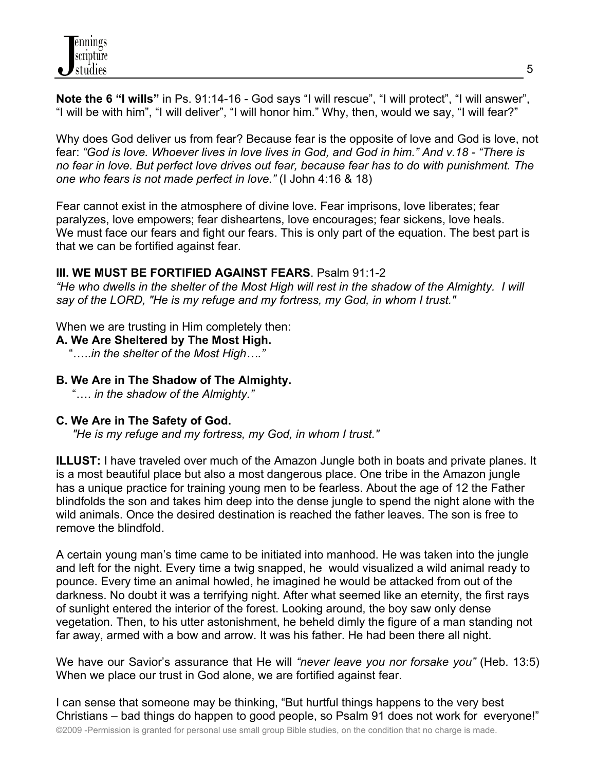

**Note the 6 "I wills"** in Ps. 91:14-16 - God says "I will rescue", "I will protect", "I will answer", "I will be with him", "I will deliver", "I will honor him." Why, then, would we say, "I will fear?"

Why does God deliver us from fear? Because fear is the opposite of love and God is love, not fear: *"God is love. Whoever lives in love lives in God, and God in him." And v.18 - "There is no fear in love. But perfect love drives out fear, because fear has to do with punishment. The one who fears is not made perfect in love."* (I John 4:16 & 18)

Fear cannot exist in the atmosphere of divine love. Fear imprisons, love liberates; fear paralyzes, love empowers; fear disheartens, love encourages; fear sickens, love heals. We must face our fears and fight our fears. This is only part of the equation. The best part is that we can be fortified against fear.

#### **III. WE MUST BE FORTIFIED AGAINST FEARS**. Psalm 91:1-2

*"He who dwells in the shelter of the Most High will rest in the shadow of the Almighty. I will say of the LORD, "He is my refuge and my fortress, my God, in whom I trust."* 

When we are trusting in Him completely then:

**A. We Are Sheltered by The Most High.** 

"…..*in the shelter of the Most High…."*

### **B. We Are in The Shadow of The Almighty.**

"…. *in the shadow of the Almighty."*

#### **C. We Are in The Safety of God.**

*"He is my refuge and my fortress, my God, in whom I trust."* 

**ILLUST:** I have traveled over much of the Amazon Jungle both in boats and private planes. It is a most beautiful place but also a most dangerous place. One tribe in the Amazon jungle has a unique practice for training young men to be fearless. About the age of 12 the Father blindfolds the son and takes him deep into the dense jungle to spend the night alone with the wild animals. Once the desired destination is reached the father leaves. The son is free to remove the blindfold.

A certain young man's time came to be initiated into manhood. He was taken into the jungle and left for the night. Every time a twig snapped, he would visualized a wild animal ready to pounce. Every time an animal howled, he imagined he would be attacked from out of the darkness. No doubt it was a terrifying night. After what seemed like an eternity, the first rays of sunlight entered the interior of the forest. Looking around, the boy saw only dense vegetation. Then, to his utter astonishment, he beheld dimly the figure of a man standing not far away, armed with a bow and arrow. It was his father. He had been there all night.

We have our Savior's assurance that He will *"never leave you nor forsake you"* (Heb. 13:5) When we place our trust in God alone, we are fortified against fear.

©2009 -Permission is granted for personal use small group Bible studies, on the condition that no charge is made. I can sense that someone may be thinking, "But hurtful things happens to the very best Christians – bad things do happen to good people, so Psalm 91 does not work for everyone!"